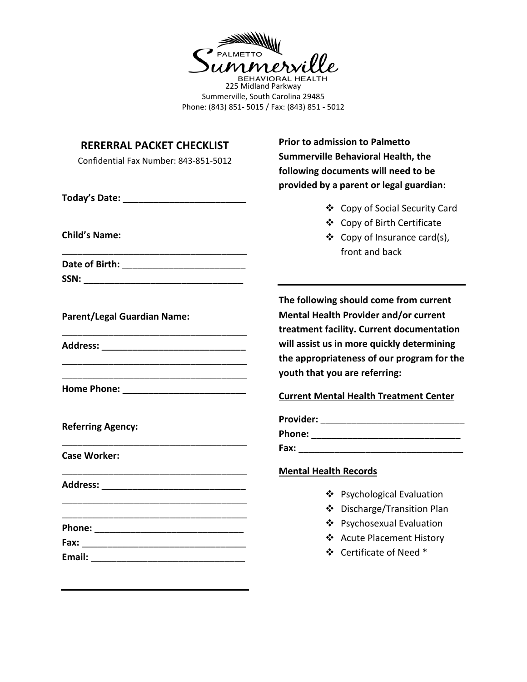

BEHAVIORAL HEALTH<br>225 Midland Parkway Summerville, South Carolina 29485 Phone: (843) 851- 5015 / Fax: (843) 851 - 5012

| <b>RERERRAL PACKET CHECKLIST</b><br>Confidential Fax Number: 843-851-5012 | <b>Prior to admission to Palmetto</b><br>Summerville Behavioral Health, the<br>following documents will need to be<br>provided by a parent or legal guardian: |
|---------------------------------------------------------------------------|---------------------------------------------------------------------------------------------------------------------------------------------------------------|
|                                                                           |                                                                                                                                                               |
|                                                                           | ❖ Copy of Social Security Card                                                                                                                                |
| <b>Child's Name:</b>                                                      | ❖ Copy of Birth Certificate<br>❖ Copy of Insurance card(s),<br>front and back                                                                                 |
|                                                                           |                                                                                                                                                               |
|                                                                           |                                                                                                                                                               |
| <b>Parent/Legal Guardian Name:</b>                                        | The following should come from current<br>Mental Health Provider and/or current<br>treatment facility. Current documentation                                  |
|                                                                           | will assist us in more quickly determining<br>the appropriateness of our program for the<br>youth that you are referring:                                     |
|                                                                           | <b>Current Mental Health Treatment Center</b>                                                                                                                 |
| <b>Referring Agency:</b>                                                  |                                                                                                                                                               |
| <b>Case Worker:</b>                                                       |                                                                                                                                                               |
|                                                                           | <b>Mental Health Records</b>                                                                                                                                  |
|                                                                           | ❖ Psychological Evaluation                                                                                                                                    |
|                                                                           | ❖ Discharge/Transition Plan                                                                                                                                   |
|                                                                           | ❖ Psychosexual Evaluation                                                                                                                                     |
|                                                                           | ❖ Acute Placement History                                                                                                                                     |
|                                                                           | ❖ Certificate of Need *                                                                                                                                       |